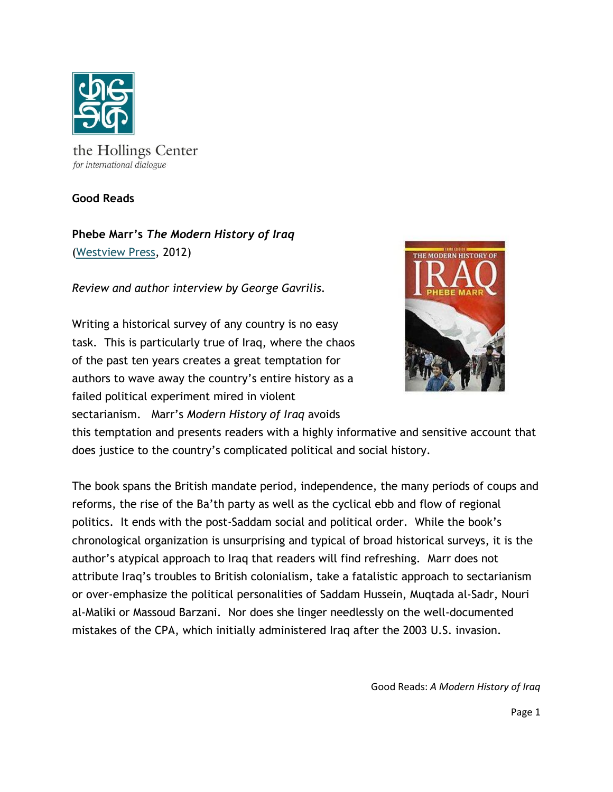

the Hollings Center for international dialogue

**Good Reads**

**Phebe Marr's** *The Modern History of Iraq* [\(Westview Press,](http://www.westviewpress.com/book.php?isbn=9780813344430&disc=29) 2012)

*Review and author interview by George Gavrilis.*

Writing a historical survey of any country is no easy task. This is particularly true of Iraq, where the chaos of the past ten years creates a great temptation for authors to wave away the country's entire history as a failed political experiment mired in violent

sectarianism. Marr's *Modern History of Iraq* avoids



this temptation and presents readers with a highly informative and sensitive account that does justice to the country's complicated political and social history.

The book spans the British mandate period, independence, the many periods of coups and reforms, the rise of the Ba'th party as well as the cyclical ebb and flow of regional politics. It ends with the post-Saddam social and political order. While the book's chronological organization is unsurprising and typical of broad historical surveys, it is the author's atypical approach to Iraq that readers will find refreshing. Marr does not attribute Iraq's troubles to British colonialism, take a fatalistic approach to sectarianism or over-emphasize the political personalities of Saddam Hussein, Muqtada al-Sadr, Nouri al-Maliki or Massoud Barzani. Nor does she linger needlessly on the well-documented mistakes of the CPA, which initially administered Iraq after the 2003 U.S. invasion.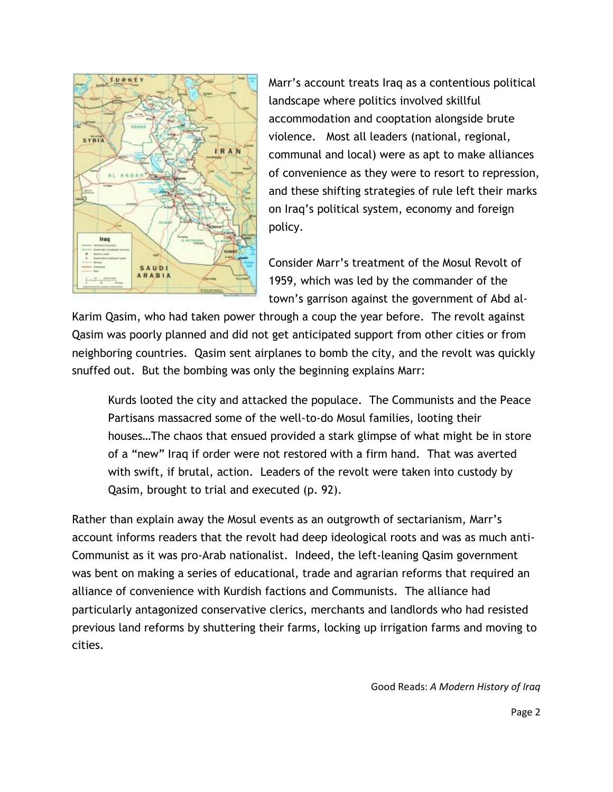

Marr's account treats Iraq as a contentious political landscape where politics involved skillful accommodation and cooptation alongside brute violence. Most all leaders (national, regional, communal and local) were as apt to make alliances of convenience as they were to resort to repression, and these shifting strategies of rule left their marks on Iraq's political system, economy and foreign policy.

Consider Marr's treatment of the Mosul Revolt of 1959, which was led by the commander of the town's garrison against the government of Abd al-

Karim Qasim, who had taken power through a coup the year before. The revolt against Qasim was poorly planned and did not get anticipated support from other cities or from neighboring countries. Qasim sent airplanes to bomb the city, and the revolt was quickly snuffed out. But the bombing was only the beginning explains Marr:

Kurds looted the city and attacked the populace. The Communists and the Peace Partisans massacred some of the well-to-do Mosul families, looting their houses…The chaos that ensued provided a stark glimpse of what might be in store of a "new" Iraq if order were not restored with a firm hand. That was averted with swift, if brutal, action. Leaders of the revolt were taken into custody by Qasim, brought to trial and executed (p. 92).

Rather than explain away the Mosul events as an outgrowth of sectarianism, Marr's account informs readers that the revolt had deep ideological roots and was as much anti-Communist as it was pro-Arab nationalist. Indeed, the left-leaning Qasim government was bent on making a series of educational, trade and agrarian reforms that required an alliance of convenience with Kurdish factions and Communists. The alliance had particularly antagonized conservative clerics, merchants and landlords who had resisted previous land reforms by shuttering their farms, locking up irrigation farms and moving to cities.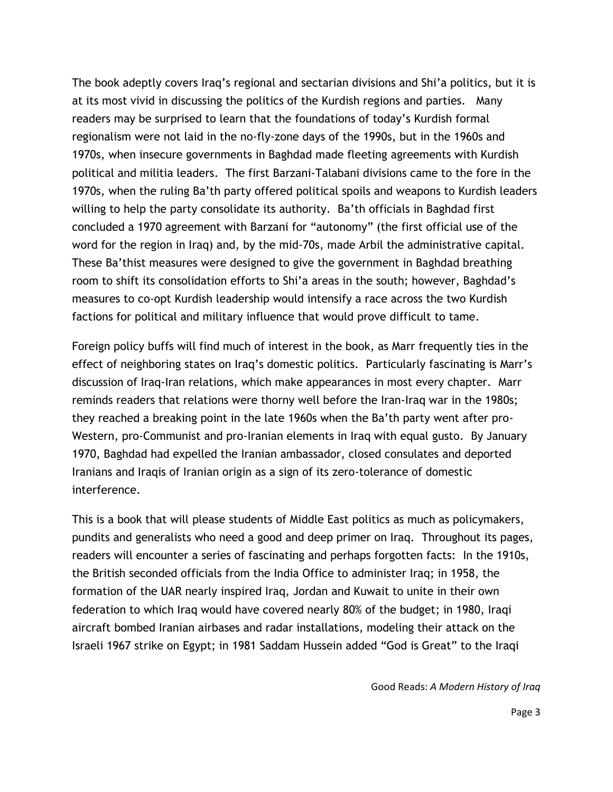The book adeptly covers Iraq's regional and sectarian divisions and Shi'a politics, but it is at its most vivid in discussing the politics of the Kurdish regions and parties. Many readers may be surprised to learn that the foundations of today's Kurdish formal regionalism were not laid in the no-fly-zone days of the 1990s, but in the 1960s and 1970s, when insecure governments in Baghdad made fleeting agreements with Kurdish political and militia leaders. The first Barzani-Talabani divisions came to the fore in the 1970s, when the ruling Ba'th party offered political spoils and weapons to Kurdish leaders willing to help the party consolidate its authority. Ba'th officials in Baghdad first concluded a 1970 agreement with Barzani for "autonomy" (the first official use of the word for the region in Iraq) and, by the mid-70s, made Arbil the administrative capital. These Ba'thist measures were designed to give the government in Baghdad breathing room to shift its consolidation efforts to Shi'a areas in the south; however, Baghdad's measures to co-opt Kurdish leadership would intensify a race across the two Kurdish factions for political and military influence that would prove difficult to tame.

Foreign policy buffs will find much of interest in the book, as Marr frequently ties in the effect of neighboring states on Iraq's domestic politics. Particularly fascinating is Marr's discussion of Iraq-Iran relations, which make appearances in most every chapter. Marr reminds readers that relations were thorny well before the Iran-Iraq war in the 1980s; they reached a breaking point in the late 1960s when the Ba'th party went after pro-Western, pro-Communist and pro-Iranian elements in Iraq with equal gusto. By January 1970, Baghdad had expelled the Iranian ambassador, closed consulates and deported Iranians and Iraqis of Iranian origin as a sign of its zero-tolerance of domestic interference.

This is a book that will please students of Middle East politics as much as policymakers, pundits and generalists who need a good and deep primer on Iraq. Throughout its pages, readers will encounter a series of fascinating and perhaps forgotten facts: In the 1910s, the British seconded officials from the India Office to administer Iraq; in 1958, the formation of the UAR nearly inspired Iraq, Jordan and Kuwait to unite in their own federation to which Iraq would have covered nearly 80% of the budget; in 1980, Iraqi aircraft bombed Iranian airbases and radar installations, modeling their attack on the Israeli 1967 strike on Egypt; in 1981 Saddam Hussein added "God is Great" to the Iraqi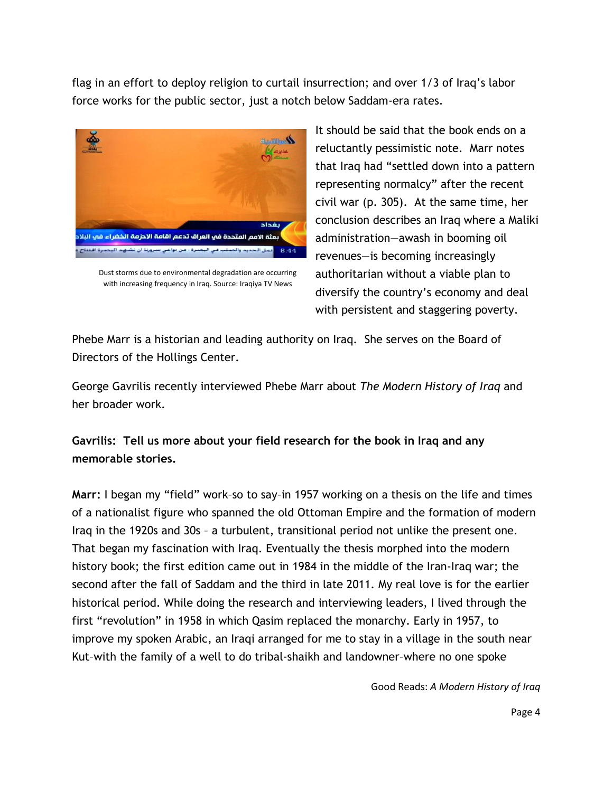flag in an effort to deploy religion to curtail insurrection; and over 1/3 of Iraq's labor force works for the public sector, just a notch below Saddam-era rates.



Dust storms due to environmental degradation are occurring with increasing frequency in Iraq. Source: Iraqiya TV News

It should be said that the book ends on a reluctantly pessimistic note. Marr notes that Iraq had "settled down into a pattern representing normalcy" after the recent civil war (p. 305). At the same time, her conclusion describes an Iraq where a Maliki administration—awash in booming oil revenues—is becoming increasingly authoritarian without a viable plan to diversify the country's economy and deal with persistent and staggering poverty.

Phebe Marr is a historian and leading authority on Iraq. She serves on the Board of Directors of the Hollings Center.

George Gavrilis recently interviewed Phebe Marr about *The Modern History of Iraq* and her broader work.

**Gavrilis: Tell us more about your field research for the book in Iraq and any memorable stories.**

**Marr:** I began my "field" work–so to say–in 1957 working on a thesis on the life and times of a nationalist figure who spanned the old Ottoman Empire and the formation of modern Iraq in the 1920s and 30s – a turbulent, transitional period not unlike the present one. That began my fascination with Iraq. Eventually the thesis morphed into the modern history book; the first edition came out in 1984 in the middle of the Iran-Iraq war; the second after the fall of Saddam and the third in late 2011. My real love is for the earlier historical period. While doing the research and interviewing leaders, I lived through the first "revolution" in 1958 in which Qasim replaced the monarchy. Early in 1957, to improve my spoken Arabic, an Iraqi arranged for me to stay in a village in the south near Kut–with the family of a well to do tribal-shaikh and landowner–where no one spoke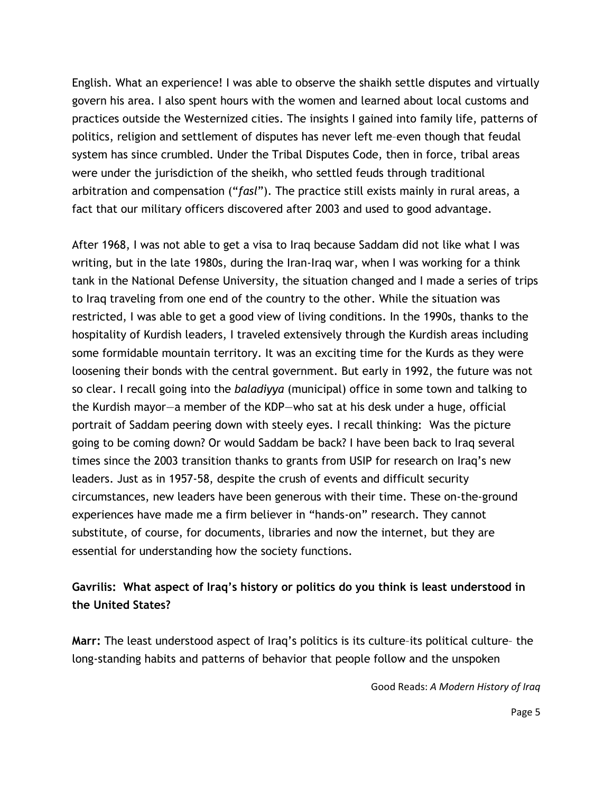English. What an experience! I was able to observe the shaikh settle disputes and virtually govern his area. I also spent hours with the women and learned about local customs and practices outside the Westernized cities. The insights I gained into family life, patterns of politics, religion and settlement of disputes has never left me–even though that feudal system has since crumbled. Under the Tribal Disputes Code, then in force, tribal areas were under the jurisdiction of the sheikh, who settled feuds through traditional arbitration and compensation ("*fasl*"). The practice still exists mainly in rural areas, a fact that our military officers discovered after 2003 and used to good advantage.

After 1968, I was not able to get a visa to Iraq because Saddam did not like what I was writing, but in the late 1980s, during the Iran-Iraq war, when I was working for a think tank in the National Defense University, the situation changed and I made a series of trips to Iraq traveling from one end of the country to the other. While the situation was restricted, I was able to get a good view of living conditions. In the 1990s, thanks to the hospitality of Kurdish leaders, I traveled extensively through the Kurdish areas including some formidable mountain territory. It was an exciting time for the Kurds as they were loosening their bonds with the central government. But early in 1992, the future was not so clear. I recall going into the *baladiyya* (municipal) office in some town and talking to the Kurdish mayor—a member of the KDP—who sat at his desk under a huge, official portrait of Saddam peering down with steely eyes. I recall thinking: Was the picture going to be coming down? Or would Saddam be back? I have been back to Iraq several times since the 2003 transition thanks to grants from USIP for research on Iraq's new leaders. Just as in 1957-58, despite the crush of events and difficult security circumstances, new leaders have been generous with their time. These on-the-ground experiences have made me a firm believer in "hands-on" research. They cannot substitute, of course, for documents, libraries and now the internet, but they are essential for understanding how the society functions.

## **Gavrilis: What aspect of Iraq's history or politics do you think is least understood in the United States?**

**Marr:** The least understood aspect of Iraq's politics is its culture–its political culture– the long-standing habits and patterns of behavior that people follow and the unspoken

Good Reads: *A Modern History of Iraq*

Page 5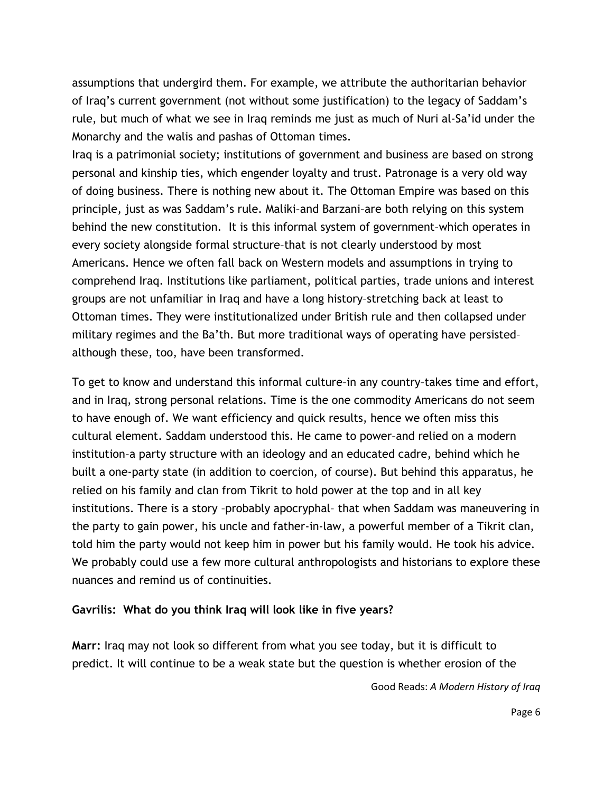assumptions that undergird them. For example, we attribute the authoritarian behavior of Iraq's current government (not without some justification) to the legacy of Saddam's rule, but much of what we see in Iraq reminds me just as much of Nuri al-Sa'id under the Monarchy and the walis and pashas of Ottoman times.

Iraq is a patrimonial society; institutions of government and business are based on strong personal and kinship ties, which engender loyalty and trust. Patronage is a very old way of doing business. There is nothing new about it. The Ottoman Empire was based on this principle, just as was Saddam's rule. Maliki–and Barzani–are both relying on this system behind the new constitution. It is this informal system of government–which operates in every society alongside formal structure–that is not clearly understood by most Americans. Hence we often fall back on Western models and assumptions in trying to comprehend Iraq. Institutions like parliament, political parties, trade unions and interest groups are not unfamiliar in Iraq and have a long history–stretching back at least to Ottoman times. They were institutionalized under British rule and then collapsed under military regimes and the Ba'th. But more traditional ways of operating have persisted– although these, too, have been transformed.

To get to know and understand this informal culture–in any country–takes time and effort, and in Iraq, strong personal relations. Time is the one commodity Americans do not seem to have enough of. We want efficiency and quick results, hence we often miss this cultural element. Saddam understood this. He came to power–and relied on a modern institution–a party structure with an ideology and an educated cadre, behind which he built a one-party state (in addition to coercion, of course). But behind this apparatus, he relied on his family and clan from Tikrit to hold power at the top and in all key institutions. There is a story –probably apocryphal– that when Saddam was maneuvering in the party to gain power, his uncle and father-in-law, a powerful member of a Tikrit clan, told him the party would not keep him in power but his family would. He took his advice. We probably could use a few more cultural anthropologists and historians to explore these nuances and remind us of continuities.

## **Gavrilis: What do you think Iraq will look like in five years?**

**Marr:** Iraq may not look so different from what you see today, but it is difficult to predict. It will continue to be a weak state but the question is whether erosion of the

Good Reads: *A Modern History of Iraq*

Page 6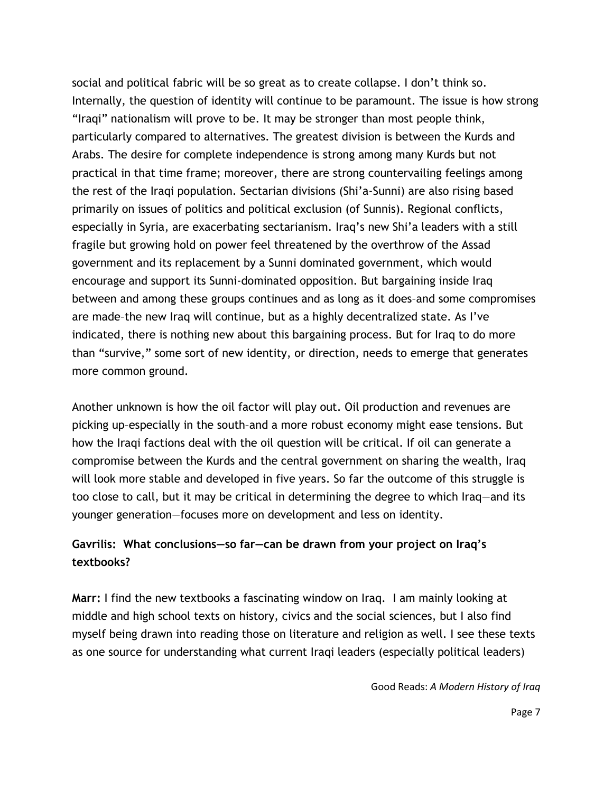social and political fabric will be so great as to create collapse. I don't think so. Internally, the question of identity will continue to be paramount. The issue is how strong "Iraqi" nationalism will prove to be. It may be stronger than most people think, particularly compared to alternatives. The greatest division is between the Kurds and Arabs. The desire for complete independence is strong among many Kurds but not practical in that time frame; moreover, there are strong countervailing feelings among the rest of the Iraqi population. Sectarian divisions (Shi'a-Sunni) are also rising based primarily on issues of politics and political exclusion (of Sunnis). Regional conflicts, especially in Syria, are exacerbating sectarianism. Iraq's new Shi'a leaders with a still fragile but growing hold on power feel threatened by the overthrow of the Assad government and its replacement by a Sunni dominated government, which would encourage and support its Sunni-dominated opposition. But bargaining inside Iraq between and among these groups continues and as long as it does–and some compromises are made–the new Iraq will continue, but as a highly decentralized state. As I've indicated, there is nothing new about this bargaining process. But for Iraq to do more than "survive," some sort of new identity, or direction, needs to emerge that generates more common ground.

Another unknown is how the oil factor will play out. Oil production and revenues are picking up–especially in the south–and a more robust economy might ease tensions. But how the Iraqi factions deal with the oil question will be critical. If oil can generate a compromise between the Kurds and the central government on sharing the wealth, Iraq will look more stable and developed in five years. So far the outcome of this struggle is too close to call, but it may be critical in determining the degree to which Iraq—and its younger generation—focuses more on development and less on identity.

## **Gavrilis: What conclusions—so far—can be drawn from your project on Iraq's textbooks?**

**Marr:** I find the new textbooks a fascinating window on Iraq. I am mainly looking at middle and high school texts on history, civics and the social sciences, but I also find myself being drawn into reading those on literature and religion as well. I see these texts as one source for understanding what current Iraqi leaders (especially political leaders)

Good Reads: *A Modern History of Iraq*

Page 7